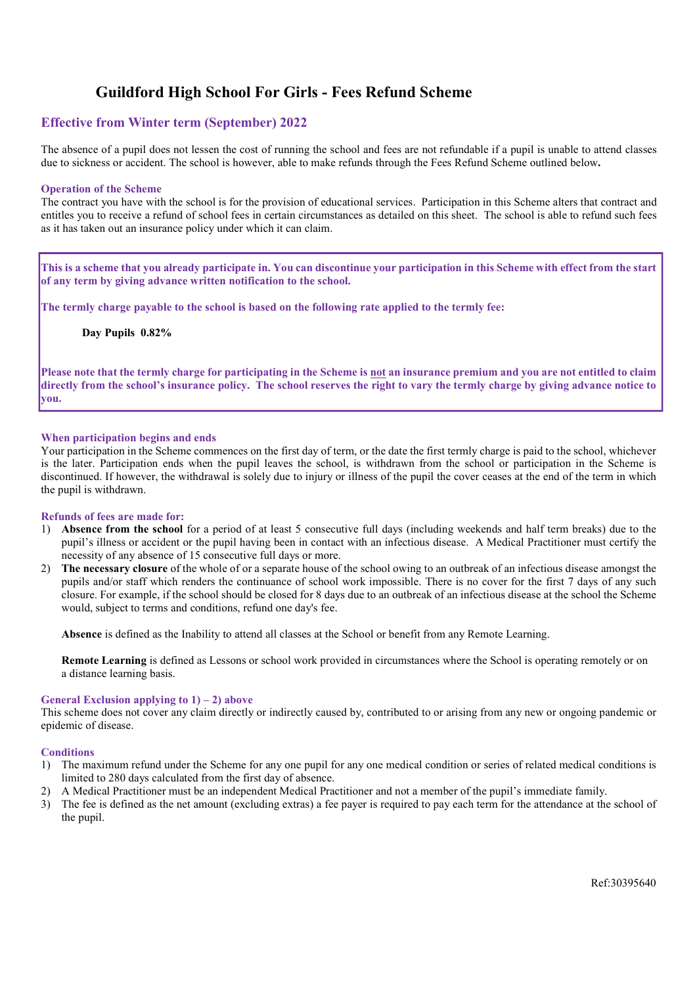# Guildford High School For Girls - Fees Refund Scheme

# Effective from Winter term (September) 202**2**

The absence of a pupil does not lessen the cost of running the school and fees are not refundable if a pupil is unable to attend classes due to sickness or accident. The school is however, able to make refunds through the Fees Refund Scheme outlined below.

#### Operation of the Scheme

The contract you have with the school is for the provision of educational services. Participation in this Scheme alters that contract and entitles you to receive a refund of school fees in certain circumstances as detailed on this sheet. The school is able to refund such fees as it has taken out an insurance policy under which it can claim.

This is a scheme that you already participate in. You can discontinue your participation in this Scheme with effect from the start of any term by giving advance written notification to the school.

The termly charge payable to the school is based on the following rate applied to the termly fee:

Day Pupils **0.82**%

Please note that the termly charge for participating in the Scheme is not an insurance premium and you are not entitled to claim directly from the school's insurance policy. The school reserves the right to vary the termly charge by giving advance notice to you.

## When participation begins and ends

Your participation in the Scheme commences on the first day of term, or the date the first termly charge is paid to the school, whichever is the later. Participation ends when the pupil leaves the school, is withdrawn from the school or participation in the Scheme is discontinued. If however, the withdrawal is solely due to injury or illness of the pupil the cover ceases at the end of the term in which the pupil is withdrawn.

#### Refunds of fees are made for:

- 1) Absence from the school for a period of at least 5 consecutive full days (including weekends and half term breaks) due to the pupil's illness or accident or the pupil having been in contact with an infectious disease. A Medical Practitioner must certify the necessity of any absence of 15 consecutive full days or more.
- 2) The necessary closure of the whole of or a separate house of the school owing to an outbreak of an infectious disease amongst the pupils and/or staff which renders the continuance of school work impossible. There is no cover for the first 7 days of any such closure. For example, if the school should be closed for 8 days due to an outbreak of an infectious disease at the school the Scheme would, subject to terms and conditions, refund one day's fee.

Absence is defined as the Inability to attend all classes at the School or benefit from any Remote Learning.

Remote Learning is defined as Lessons or school work provided in circumstances where the School is operating remotely or on a distance learning basis.

#### General Exclusion applying to  $1$ ) – 2) above

This scheme does not cover any claim directly or indirectly caused by, contributed to or arising from any new or ongoing pandemic or epidemic of disease.

#### **Conditions**

- 1) The maximum refund under the Scheme for any one pupil for any one medical condition or series of related medical conditions is limited to 280 days calculated from the first day of absence.
- 2) A Medical Practitioner must be an independent Medical Practitioner and not a member of the pupil's immediate family.
- 3) The fee is defined as the net amount (excluding extras) a fee payer is required to pay each term for the attendance at the school of the pupil.